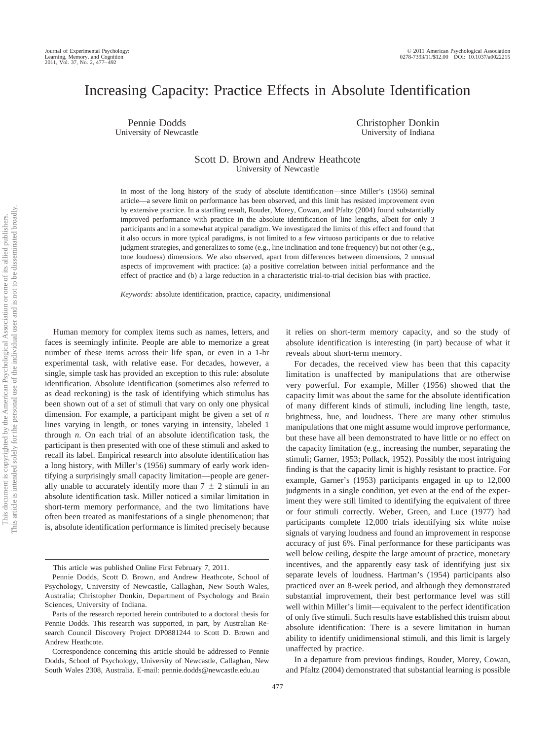# Increasing Capacity: Practice Effects in Absolute Identification

Pennie Dodds University of Newcastle Christopher Donkin University of Indiana

## Scott D. Brown and Andrew Heathcote University of Newcastle

In most of the long history of the study of absolute identification—since Miller's (1956) seminal article—a severe limit on performance has been observed, and this limit has resisted improvement even by extensive practice. In a startling result, Rouder, Morey, Cowan, and Pfaltz (2004) found substantially improved performance with practice in the absolute identification of line lengths, albeit for only 3 participants and in a somewhat atypical paradigm. We investigated the limits of this effect and found that it also occurs in more typical paradigms, is not limited to a few virtuoso participants or due to relative judgment strategies, and generalizes to some (e.g., line inclination and tone frequency) but not other (e.g., tone loudness) dimensions. We also observed, apart from differences between dimensions, 2 unusual aspects of improvement with practice: (a) a positive correlation between initial performance and the effect of practice and (b) a large reduction in a characteristic trial-to-trial decision bias with practice.

*Keywords:* absolute identification, practice, capacity, unidimensional

Human memory for complex items such as names, letters, and faces is seemingly infinite. People are able to memorize a great number of these items across their life span, or even in a 1-hr experimental task, with relative ease. For decades, however, a single, simple task has provided an exception to this rule: absolute identification. Absolute identification (sometimes also referred to as dead reckoning) is the task of identifying which stimulus has been shown out of a set of stimuli that vary on only one physical dimension. For example, a participant might be given a set of *n* lines varying in length, or tones varying in intensity, labeled 1 through *n*. On each trial of an absolute identification task, the participant is then presented with one of these stimuli and asked to recall its label. Empirical research into absolute identification has a long history, with Miller's (1956) summary of early work identifying a surprisingly small capacity limitation—people are generally unable to accurately identify more than  $7 \pm 2$  stimuli in an absolute identification task. Miller noticed a similar limitation in short-term memory performance, and the two limitations have often been treated as manifestations of a single phenomenon; that is, absolute identification performance is limited precisely because

it relies on short-term memory capacity, and so the study of absolute identification is interesting (in part) because of what it reveals about short-term memory.

For decades, the received view has been that this capacity limitation is unaffected by manipulations that are otherwise very powerful. For example, Miller (1956) showed that the capacity limit was about the same for the absolute identification of many different kinds of stimuli, including line length, taste, brightness, hue, and loudness. There are many other stimulus manipulations that one might assume would improve performance, but these have all been demonstrated to have little or no effect on the capacity limitation (e.g., increasing the number, separating the stimuli; Garner, 1953; Pollack, 1952). Possibly the most intriguing finding is that the capacity limit is highly resistant to practice. For example, Garner's (1953) participants engaged in up to 12,000 judgments in a single condition, yet even at the end of the experiment they were still limited to identifying the equivalent of three or four stimuli correctly. Weber, Green, and Luce (1977) had participants complete 12,000 trials identifying six white noise signals of varying loudness and found an improvement in response accuracy of just 6%. Final performance for these participants was well below ceiling, despite the large amount of practice, monetary incentives, and the apparently easy task of identifying just six separate levels of loudness. Hartman's (1954) participants also practiced over an 8-week period, and although they demonstrated substantial improvement, their best performance level was still well within Miller's limit—equivalent to the perfect identification of only five stimuli. Such results have established this truism about absolute identification: There is a severe limitation in human ability to identify unidimensional stimuli, and this limit is largely unaffected by practice.

In a departure from previous findings, Rouder, Morey, Cowan, and Pfaltz (2004) demonstrated that substantial learning *is* possible

This article was published Online First February 7, 2011.

Pennie Dodds, Scott D. Brown, and Andrew Heathcote, School of Psychology, University of Newcastle, Callaghan, New South Wales, Australia; Christopher Donkin, Department of Psychology and Brain Sciences, University of Indiana.

Parts of the research reported herein contributed to a doctoral thesis for Pennie Dodds. This research was supported, in part, by Australian Research Council Discovery Project DP0881244 to Scott D. Brown and Andrew Heathcote.

Correspondence concerning this article should be addressed to Pennie Dodds, School of Psychology, University of Newcastle, Callaghan, New South Wales 2308, Australia. E-mail: pennie.dodds@newcastle.edu.au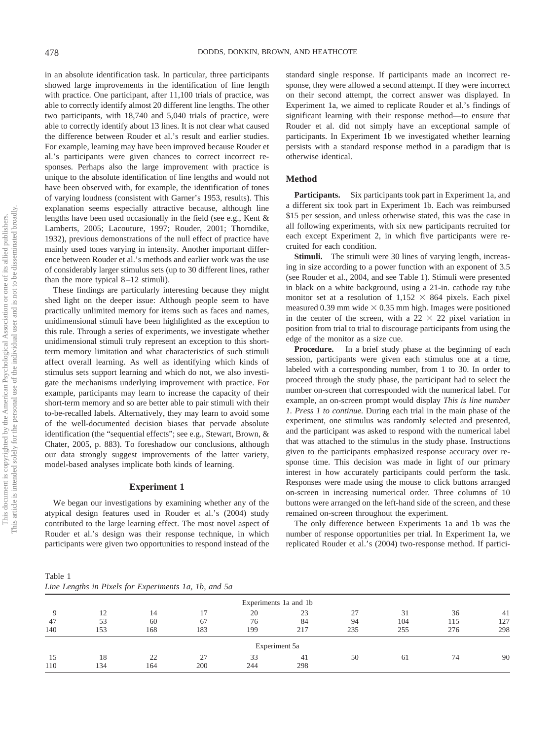in an absolute identification task. In particular, three participants showed large improvements in the identification of line length with practice. One participant, after 11,100 trials of practice, was able to correctly identify almost 20 different line lengths. The other two participants, with 18,740 and 5,040 trials of practice, were able to correctly identify about 13 lines. It is not clear what caused the difference between Rouder et al.'s result and earlier studies. For example, learning may have been improved because Rouder et al.'s participants were given chances to correct incorrect responses. Perhaps also the large improvement with practice is unique to the absolute identification of line lengths and would not have been observed with, for example, the identification of tones of varying loudness (consistent with Garner's 1953, results). This explanation seems especially attractive because, although line lengths have been used occasionally in the field (see e.g., Kent & Lamberts, 2005; Lacouture, 1997; Rouder, 2001; Thorndike, 1932), previous demonstrations of the null effect of practice have mainly used tones varying in intensity. Another important difference between Rouder et al.'s methods and earlier work was the use of considerably larger stimulus sets (up to 30 different lines, rather than the more typical  $8-12$  stimuli).

These findings are particularly interesting because they might shed light on the deeper issue: Although people seem to have practically unlimited memory for items such as faces and names, unidimensional stimuli have been highlighted as the exception to this rule. Through a series of experiments, we investigate whether unidimensional stimuli truly represent an exception to this shortterm memory limitation and what characteristics of such stimuli affect overall learning. As well as identifying which kinds of stimulus sets support learning and which do not, we also investigate the mechanisms underlying improvement with practice. For example, participants may learn to increase the capacity of their short-term memory and so are better able to pair stimuli with their to-be-recalled labels. Alternatively, they may learn to avoid some of the well-documented decision biases that pervade absolute identification (the "sequential effects"; see e.g., Stewart, Brown, & Chater, 2005, p. 883). To foreshadow our conclusions, although our data strongly suggest improvements of the latter variety, model-based analyses implicate both kinds of learning.

#### **Experiment 1**

We began our investigations by examining whether any of the atypical design features used in Rouder et al.'s (2004) study contributed to the large learning effect. The most novel aspect of Rouder et al.'s design was their response technique, in which participants were given two opportunities to respond instead of the

standard single response. If participants made an incorrect response, they were allowed a second attempt. If they were incorrect on their second attempt, the correct answer was displayed. In Experiment 1a, we aimed to replicate Rouder et al.'s findings of significant learning with their response method—to ensure that Rouder et al. did not simply have an exceptional sample of participants. In Experiment 1b we investigated whether learning persists with a standard response method in a paradigm that is otherwise identical.

#### **Method**

**Participants.** Six participants took part in Experiment 1a, and a different six took part in Experiment 1b. Each was reimbursed \$15 per session, and unless otherwise stated, this was the case in all following experiments, with six new participants recruited for each except Experiment 2, in which five participants were recruited for each condition.

Stimuli. The stimuli were 30 lines of varying length, increasing in size according to a power function with an exponent of 3.5 (see Rouder et al., 2004, and see Table 1). Stimuli were presented in black on a white background, using a 21-in. cathode ray tube monitor set at a resolution of  $1,152 \times 864$  pixels. Each pixel measured 0.39 mm wide  $\times$  0.35 mm high. Images were positioned in the center of the screen, with a  $22 \times 22$  pixel variation in position from trial to trial to discourage participants from using the edge of the monitor as a size cue.

**Procedure.** In a brief study phase at the beginning of each session, participants were given each stimulus one at a time, labeled with a corresponding number, from 1 to 30. In order to proceed through the study phase, the participant had to select the number on-screen that corresponded with the numerical label. For example, an on-screen prompt would display *This is line number 1. Press 1 to continue.* During each trial in the main phase of the experiment, one stimulus was randomly selected and presented, and the participant was asked to respond with the numerical label that was attached to the stimulus in the study phase. Instructions given to the participants emphasized response accuracy over response time. This decision was made in light of our primary interest in how accurately participants could perform the task. Responses were made using the mouse to click buttons arranged on-screen in increasing numerical order. Three columns of 10 buttons were arranged on the left-hand side of the screen, and these remained on-screen throughout the experiment.

The only difference between Experiments 1a and 1b was the number of response opportunities per trial. In Experiment 1a, we replicated Rouder et al.'s (2004) two-response method. If partici-

Table 1 *Line Lengths in Pixels for Experiments 1a, 1b, and 5a*

|           |           |           |                |           | Experiments 1a and 1b |          |           |           |           |
|-----------|-----------|-----------|----------------|-----------|-----------------------|----------|-----------|-----------|-----------|
| 47        | 12        | 14<br>60  | 17<br>67       | 20<br>76  | 23<br>84              | 27<br>94 | 31<br>104 | 36<br>115 | 41<br>127 |
| 140       | 53<br>153 | 168       | 183            | 199       | 217                   | 235      | 255       | 276       | 298       |
|           |           |           |                |           | Experiment 5a         |          |           |           |           |
| 15<br>110 | 18<br>134 | 22<br>164 | 27<br>,<br>200 | 33<br>244 | -41<br>298            | 50       | 61        | 74        | 90        |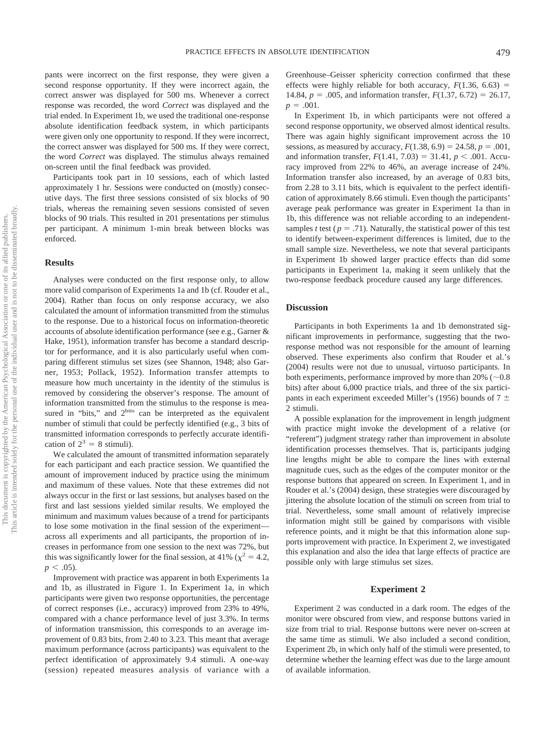pants were incorrect on the first response, they were given a second response opportunity. If they were incorrect again, the correct answer was displayed for 500 ms. Whenever a correct response was recorded, the word *Correct* was displayed and the trial ended. In Experiment 1b, we used the traditional one-response absolute identification feedback system, in which participants were given only one opportunity to respond. If they were incorrect, the correct answer was displayed for 500 ms. If they were correct, the word *Correct* was displayed. The stimulus always remained on-screen until the final feedback was provided.

Participants took part in 10 sessions, each of which lasted approximately 1 hr. Sessions were conducted on (mostly) consecutive days. The first three sessions consisted of six blocks of 90 trials, whereas the remaining seven sessions consisted of seven blocks of 90 trials. This resulted in 201 presentations per stimulus per participant. A minimum 1-min break between blocks was enforced.

## **Results**

Analyses were conducted on the first response only, to allow more valid comparison of Experiments 1a and 1b (cf. Rouder et al., 2004). Rather than focus on only response accuracy, we also calculated the amount of information transmitted from the stimulus to the response. Due to a historical focus on information-theoretic accounts of absolute identification performance (see e.g., Garner & Hake, 1951), information transfer has become a standard descriptor for performance, and it is also particularly useful when comparing different stimulus set sizes (see Shannon, 1948; also Garner, 1953; Pollack, 1952). Information transfer attempts to measure how much uncertainty in the identity of the stimulus is removed by considering the observer's response. The amount of information transmitted from the stimulus to the response is measured in "bits," and 2<sup>bits</sup> can be interpreted as the equivalent number of stimuli that could be perfectly identified (e.g., 3 bits of transmitted information corresponds to perfectly accurate identification of  $2^3 = 8$  stimuli).

We calculated the amount of transmitted information separately for each participant and each practice session. We quantified the amount of improvement induced by practice using the minimum and maximum of these values. Note that these extremes did not always occur in the first or last sessions, but analyses based on the first and last sessions yielded similar results. We employed the minimum and maximum values because of a trend for participants to lose some motivation in the final session of the experiment across all experiments and all participants, the proportion of increases in performance from one session to the next was 72%, but this was significantly lower for the final session, at 41% ( $\chi^2 = 4.2$ ,  $p < .05$ ).

Improvement with practice was apparent in both Experiments 1a and 1b, as illustrated in Figure 1. In Experiment 1a, in which participants were given two response opportunities, the percentage of correct responses (i.e., accuracy) improved from 23% to 49%, compared with a chance performance level of just 3.3%. In terms of information transmission, this corresponds to an average improvement of 0.83 bits, from 2.40 to 3.23. This meant that average maximum performance (across participants) was equivalent to the perfect identification of approximately 9.4 stimuli. A one-way (session) repeated measures analysis of variance with a

Greenhouse–Geisser sphericity correction confirmed that these effects were highly reliable for both accuracy,  $F(1.36, 6.63)$  = 14.84,  $p = .005$ , and information transfer,  $F(1.37, 6.72) = 26.17$ ,  $p = .001$ .

In Experiment 1b, in which participants were not offered a second response opportunity, we observed almost identical results. There was again highly significant improvement across the 10 sessions, as measured by accuracy,  $F(1.38, 6.9) = 24.58$ ,  $p = .001$ , and information transfer,  $F(1.41, 7.03) = 31.41, p < .001$ . Accuracy improved from 22% to 46%, an average increase of 24%. Information transfer also increased, by an average of 0.83 bits, from 2.28 to 3.11 bits, which is equivalent to the perfect identification of approximately 8.66 stimuli. Even though the participants' average peak performance was greater in Experiment 1a than in 1b, this difference was not reliable according to an independentsamples *t* test ( $p = .71$ ). Naturally, the statistical power of this test to identify between-experiment differences is limited, due to the small sample size. Nevertheless, we note that several participants in Experiment 1b showed larger practice effects than did some participants in Experiment 1a, making it seem unlikely that the two-response feedback procedure caused any large differences.

## **Discussion**

Participants in both Experiments 1a and 1b demonstrated significant improvements in performance, suggesting that the tworesponse method was not responsible for the amount of learning observed. These experiments also confirm that Rouder et al.'s (2004) results were not due to unusual, virtuoso participants. In both experiments, performance improved by more than  $20\%$  ( $\sim 0.8$ ) bits) after about 6,000 practice trials, and three of the six participants in each experiment exceeded Miller's (1956) bounds of 7  $\pm$ 2 stimuli.

A possible explanation for the improvement in length judgment with practice might invoke the development of a relative (or "referent") judgment strategy rather than improvement in absolute identification processes themselves. That is, participants judging line lengths might be able to compare the lines with external magnitude cues, such as the edges of the computer monitor or the response buttons that appeared on screen. In Experiment 1, and in Rouder et al.'s (2004) design, these strategies were discouraged by jittering the absolute location of the stimuli on screen from trial to trial. Nevertheless, some small amount of relatively imprecise information might still be gained by comparisons with visible reference points, and it might be that this information alone supports improvement with practice. In Experiment 2, we investigated this explanation and also the idea that large effects of practice are possible only with large stimulus set sizes.

#### **Experiment 2**

Experiment 2 was conducted in a dark room. The edges of the monitor were obscured from view, and response buttons varied in size from trial to trial. Response buttons were never on-screen at the same time as stimuli. We also included a second condition, Experiment 2b, in which only half of the stimuli were presented, to determine whether the learning effect was due to the large amount of available information.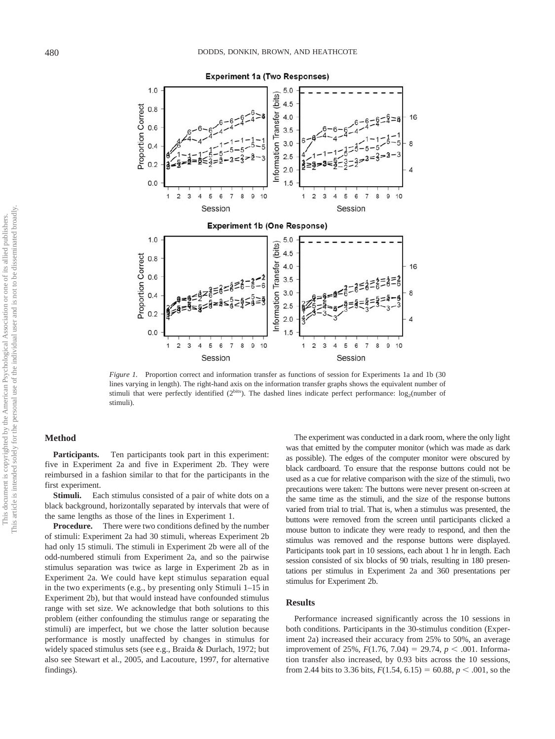

*Figure 1.* Proportion correct and information transfer as functions of session for Experiments 1a and 1b (30) lines varying in length). The right-hand axis on the information transfer graphs shows the equivalent number of stimuli that were perfectly identified ( $2^{bits}$ ). The dashed lines indicate perfect performance:  $log_2$ (number of stimuli).

## **Method**

**Participants.** Ten participants took part in this experiment: five in Experiment 2a and five in Experiment 2b. They were reimbursed in a fashion similar to that for the participants in the first experiment.

**Stimuli.** Each stimulus consisted of a pair of white dots on a black background, horizontally separated by intervals that were of the same lengths as those of the lines in Experiment 1.

**Procedure.** There were two conditions defined by the number of stimuli: Experiment 2a had 30 stimuli, whereas Experiment 2b had only 15 stimuli. The stimuli in Experiment 2b were all of the odd-numbered stimuli from Experiment 2a, and so the pairwise stimulus separation was twice as large in Experiment 2b as in Experiment 2a. We could have kept stimulus separation equal in the two experiments (e.g., by presenting only Stimuli 1–15 in Experiment 2b), but that would instead have confounded stimulus range with set size. We acknowledge that both solutions to this problem (either confounding the stimulus range or separating the stimuli) are imperfect, but we chose the latter solution because performance is mostly unaffected by changes in stimulus for widely spaced stimulus sets (see e.g., Braida & Durlach, 1972; but also see Stewart et al., 2005, and Lacouture, 1997, for alternative findings).

The experiment was conducted in a dark room, where the only light was that emitted by the computer monitor (which was made as dark as possible). The edges of the computer monitor were obscured by black cardboard. To ensure that the response buttons could not be used as a cue for relative comparison with the size of the stimuli, two precautions were taken: The buttons were never present on-screen at the same time as the stimuli, and the size of the response buttons varied from trial to trial. That is, when a stimulus was presented, the buttons were removed from the screen until participants clicked a mouse button to indicate they were ready to respond, and then the stimulus was removed and the response buttons were displayed. Participants took part in 10 sessions, each about 1 hr in length. Each session consisted of six blocks of 90 trials, resulting in 180 presentations per stimulus in Experiment 2a and 360 presentations per stimulus for Experiment 2b.

#### **Results**

Performance increased significantly across the 10 sessions in both conditions. Participants in the 30-stimulus condition (Experiment 2a) increased their accuracy from 25% to 50%, an average improvement of 25%,  $F(1.76, 7.04) = 29.74, p < .001$ . Information transfer also increased, by 0.93 bits across the 10 sessions, from 2.44 bits to 3.36 bits,  $F(1.54, 6.15) = 60.88$ ,  $p < .001$ , so the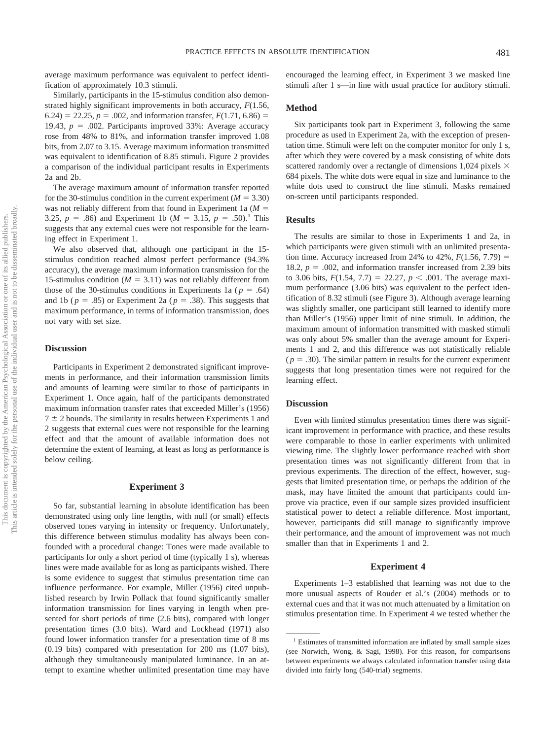average maximum performance was equivalent to perfect identification of approximately 10.3 stimuli.

Similarly, participants in the 15-stimulus condition also demonstrated highly significant improvements in both accuracy, *F*(1.56, 6.24) = 22.25,  $p = .002$ , and information transfer,  $F(1.71, 6.86)$  = 19.43,  $p = .002$ . Participants improved 33%: Average accuracy rose from 48% to 81%, and information transfer improved 1.08 bits, from 2.07 to 3.15. Average maximum information transmitted was equivalent to identification of 8.85 stimuli. Figure 2 provides a comparison of the individual participant results in Experiments 2a and 2b.

The average maximum amount of information transfer reported for the 30-stimulus condition in the current experiment ( $M = 3.30$ ) was not reliably different from that found in Experiment 1a (*M* 3.25,  $p = .86$ ) and Experiment 1b ( $M = 3.15$ ,  $p = .50$ ).<sup>1</sup> This suggests that any external cues were not responsible for the learning effect in Experiment 1.

We also observed that, although one participant in the 15 stimulus condition reached almost perfect performance (94.3% accuracy), the average maximum information transmission for the 15-stimulus condition ( $M = 3.11$ ) was not reliably different from those of the 30-stimulus conditions in Experiments 1a ( $p = .64$ ) and 1b ( $p = .85$ ) or Experiment 2a ( $p = .38$ ). This suggests that maximum performance, in terms of information transmission, does not vary with set size.

#### **Discussion**

Participants in Experiment 2 demonstrated significant improvements in performance, and their information transmission limits and amounts of learning were similar to those of participants in Experiment 1. Once again, half of the participants demonstrated maximum information transfer rates that exceeded Miller's (1956)  $7 \pm 2$  bounds. The similarity in results between Experiments 1 and 2 suggests that external cues were not responsible for the learning effect and that the amount of available information does not determine the extent of learning, at least as long as performance is below ceiling.

## **Experiment 3**

So far, substantial learning in absolute identification has been demonstrated using only line lengths, with null (or small) effects observed tones varying in intensity or frequency. Unfortunately, this difference between stimulus modality has always been confounded with a procedural change: Tones were made available to participants for only a short period of time (typically 1 s), whereas lines were made available for as long as participants wished. There is some evidence to suggest that stimulus presentation time can influence performance. For example, Miller (1956) cited unpublished research by Irwin Pollack that found significantly smaller information transmission for lines varying in length when presented for short periods of time (2.6 bits), compared with longer presentation times (3.0 bits). Ward and Lockhead (1971) also found lower information transfer for a presentation time of 8 ms (0.19 bits) compared with presentation for 200 ms (1.07 bits), although they simultaneously manipulated luminance. In an attempt to examine whether unlimited presentation time may have encouraged the learning effect, in Experiment 3 we masked line stimuli after 1 s—in line with usual practice for auditory stimuli.

## **Method**

Six participants took part in Experiment 3, following the same procedure as used in Experiment 2a, with the exception of presentation time. Stimuli were left on the computer monitor for only 1 s, after which they were covered by a mask consisting of white dots scattered randomly over a rectangle of dimensions 1,024 pixels  $\times$ 684 pixels. The white dots were equal in size and luminance to the white dots used to construct the line stimuli. Masks remained on-screen until participants responded.

# **Results**

The results are similar to those in Experiments 1 and 2a, in which participants were given stimuli with an unlimited presentation time. Accuracy increased from 24% to 42%,  $F(1.56, 7.79)$  = 18.2,  $p = .002$ , and information transfer increased from 2.39 bits to 3.06 bits,  $F(1.54, 7.7) = 22.27, p < .001$ . The average maximum performance (3.06 bits) was equivalent to the perfect identification of 8.32 stimuli (see Figure 3). Although average learning was slightly smaller, one participant still learned to identify more than Miller's (1956) upper limit of nine stimuli. In addition, the maximum amount of information transmitted with masked stimuli was only about 5% smaller than the average amount for Experiments 1 and 2, and this difference was not statistically reliable  $(p = .30)$ . The similar pattern in results for the current experiment suggests that long presentation times were not required for the learning effect.

#### **Discussion**

Even with limited stimulus presentation times there was significant improvement in performance with practice, and these results were comparable to those in earlier experiments with unlimited viewing time. The slightly lower performance reached with short presentation times was not significantly different from that in previous experiments. The direction of the effect, however, suggests that limited presentation time, or perhaps the addition of the mask, may have limited the amount that participants could improve via practice, even if our sample sizes provided insufficient statistical power to detect a reliable difference. Most important, however, participants did still manage to significantly improve their performance, and the amount of improvement was not much smaller than that in Experiments 1 and 2.

#### **Experiment 4**

Experiments 1–3 established that learning was not due to the more unusual aspects of Rouder et al.'s (2004) methods or to external cues and that it was not much attenuated by a limitation on stimulus presentation time. In Experiment 4 we tested whether the

<sup>&</sup>lt;sup>1</sup> Estimates of transmitted information are inflated by small sample sizes (see Norwich, Wong, & Sagi, 1998). For this reason, for comparisons between experiments we always calculated information transfer using data divided into fairly long (540-trial) segments.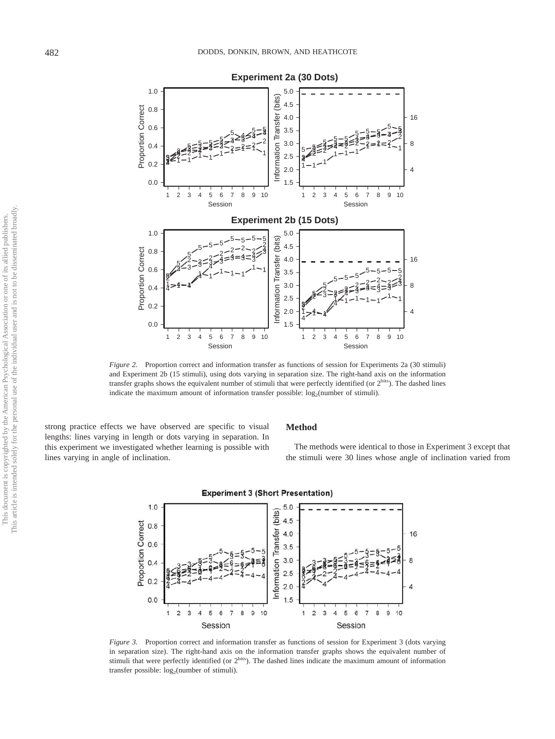

*Figure 2.* Proportion correct and information transfer as functions of session for Experiments 2a (30 stimuli) and Experiment 2b (15 stimuli), using dots varying in separation size. The right-hand axis on the information transfer graphs shows the equivalent number of stimuli that were perfectly identified (or 2bits). The dashed lines indicate the maximum amount of information transfer possible:  $log<sub>2</sub>(number of stimuli)$ .

strong practice effects we have observed are specific to visual lengths: lines varying in length or dots varying in separation. In this experiment we investigated whether learning is possible with lines varying in angle of inclination.

## **Method**

The methods were identical to those in Experiment 3 except that the stimuli were 30 lines whose angle of inclination varied from



*Figure 3.* Proportion correct and information transfer as functions of session for Experiment 3 (dots varying in separation size). The right-hand axis on the information transfer graphs shows the equivalent number of stimuli that were perfectly identified (or  $2^{bits}$ ). The dashed lines indicate the maximum amount of information transfer possible:  $log<sub>2</sub>(number of stimuli)$ .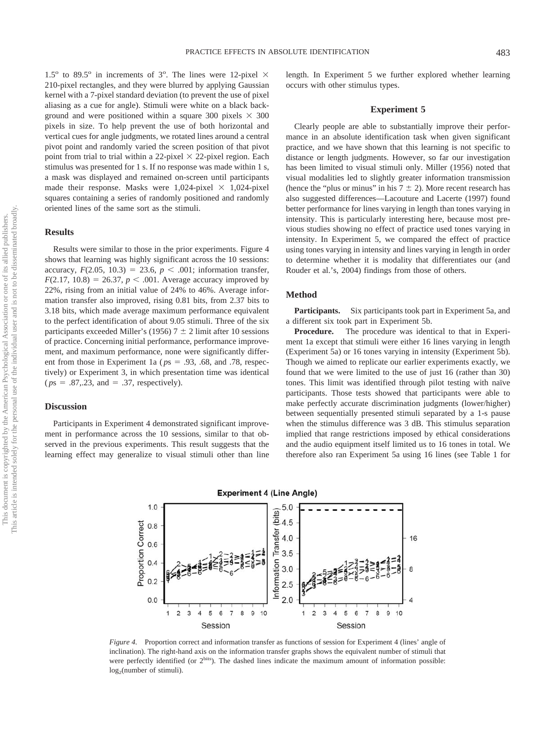1.5° to 89.5° in increments of 3°. The lines were 12-pixel  $\times$ 210-pixel rectangles, and they were blurred by applying Gaussian kernel with a 7-pixel standard deviation (to prevent the use of pixel aliasing as a cue for angle). Stimuli were white on a black background and were positioned within a square 300 pixels  $\times$  300 pixels in size. To help prevent the use of both horizontal and vertical cues for angle judgments, we rotated lines around a central pivot point and randomly varied the screen position of that pivot point from trial to trial within a 22-pixel  $\times$  22-pixel region. Each stimulus was presented for 1 s. If no response was made within 1 s, a mask was displayed and remained on-screen until participants made their response. Masks were  $1,024$ -pixel  $\times$  1,024-pixel squares containing a series of randomly positioned and randomly oriented lines of the same sort as the stimuli.

# **Results**

Results were similar to those in the prior experiments. Figure 4 shows that learning was highly significant across the 10 sessions: accuracy,  $F(2.05, 10.3) = 23.6, p < .001$ ; information transfer,  $F(2.17, 10.8) = 26.37, p < .001$ . Average accuracy improved by 22%, rising from an initial value of 24% to 46%. Average information transfer also improved, rising 0.81 bits, from 2.37 bits to 3.18 bits, which made average maximum performance equivalent to the perfect identification of about 9.05 stimuli. Three of the six participants exceeded Miller's (1956)  $7 \pm 2$  limit after 10 sessions of practice. Concerning initial performance, performance improvement, and maximum performance, none were significantly different from those in Experiment 1a ( $p_s = .93, .68,$  and .78, respectively) or Experiment 3, in which presentation time was identical  $(ps = .87, .23, and = .37, respectively).$ 

## **Discussion**

Participants in Experiment 4 demonstrated significant improvement in performance across the 10 sessions, similar to that observed in the previous experiments. This result suggests that the learning effect may generalize to visual stimuli other than line length. In Experiment 5 we further explored whether learning occurs with other stimulus types.

## **Experiment 5**

Clearly people are able to substantially improve their performance in an absolute identification task when given significant practice, and we have shown that this learning is not specific to distance or length judgments. However, so far our investigation has been limited to visual stimuli only. Miller (1956) noted that visual modalities led to slightly greater information transmission (hence the "plus or minus" in his  $7 \pm 2$ ). More recent research has also suggested differences—Lacouture and Lacerte (1997) found better performance for lines varying in length than tones varying in intensity. This is particularly interesting here, because most previous studies showing no effect of practice used tones varying in intensity. In Experiment 5, we compared the effect of practice using tones varying in intensity and lines varying in length in order to determine whether it is modality that differentiates our (and Rouder et al.'s, 2004) findings from those of others.

#### **Method**

**Participants.** Six participants took part in Experiment 5a, and a different six took part in Experiment 5b.

**Procedure.** The procedure was identical to that in Experiment 1a except that stimuli were either 16 lines varying in length (Experiment 5a) or 16 tones varying in intensity (Experiment 5b). Though we aimed to replicate our earlier experiments exactly, we found that we were limited to the use of just 16 (rather than 30) tones. This limit was identified through pilot testing with naïve participants. Those tests showed that participants were able to make perfectly accurate discrimination judgments (lower/higher) between sequentially presented stimuli separated by a 1-s pause when the stimulus difference was 3 dB. This stimulus separation implied that range restrictions imposed by ethical considerations and the audio equipment itself limited us to 16 tones in total. We therefore also ran Experiment 5a using 16 lines (see Table 1 for



*Figure 4.* Proportion correct and information transfer as functions of session for Experiment 4 (lines' angle of inclination). The right-hand axis on the information transfer graphs shows the equivalent number of stimuli that were perfectly identified (or 2<sup>bits</sup>). The dashed lines indicate the maximum amount of information possible:  $log<sub>2</sub>(number of stimuli).$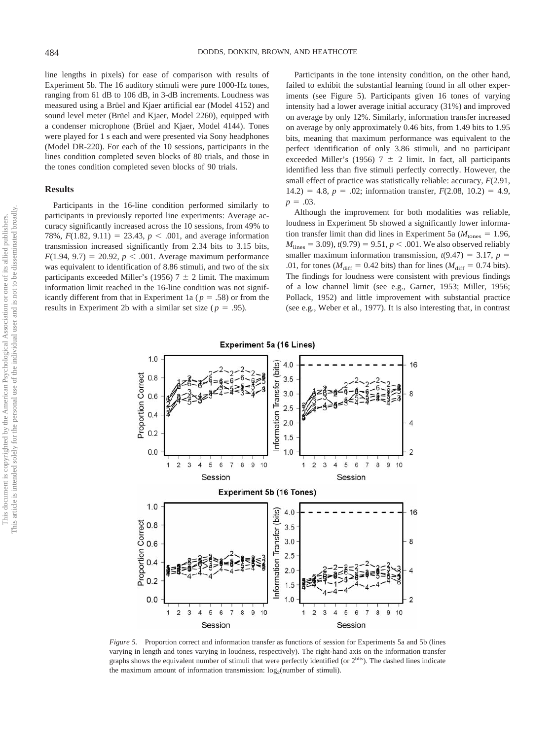line lengths in pixels) for ease of comparison with results of Experiment 5b. The 16 auditory stimuli were pure 1000-Hz tones, ranging from 61 dB to 106 dB, in 3-dB increments. Loudness was measured using a Brüel and Kjaer artificial ear (Model 4152) and sound level meter (Brüel and Kjaer, Model 2260), equipped with a condenser microphone (Brüel and Kjaer, Model 4144). Tones were played for 1 s each and were presented via Sony headphones (Model DR-220). For each of the 10 sessions, participants in the lines condition completed seven blocks of 80 trials, and those in the tones condition completed seven blocks of 90 trials.

# **Results**

Participants in the 16-line condition performed similarly to participants in previously reported line experiments: Average accuracy significantly increased across the 10 sessions, from 49% to 78%,  $F(1.82, 9.11) = 23.43$ ,  $p < .001$ , and average information transmission increased significantly from 2.34 bits to 3.15 bits,  $F(1.94, 9.7) = 20.92, p < .001$ . Average maximum performance was equivalent to identification of 8.86 stimuli, and two of the six participants exceeded Miller's (1956)  $7 \pm 2$  limit. The maximum information limit reached in the 16-line condition was not significantly different from that in Experiment 1a ( $p = .58$ ) or from the results in Experiment 2b with a similar set size ( $p = .95$ ).

Participants in the tone intensity condition, on the other hand, failed to exhibit the substantial learning found in all other experiments (see Figure 5). Participants given 16 tones of varying intensity had a lower average initial accuracy (31%) and improved on average by only 12%. Similarly, information transfer increased on average by only approximately 0.46 bits, from 1.49 bits to 1.95 bits, meaning that maximum performance was equivalent to the perfect identification of only 3.86 stimuli, and no participant exceeded Miller's (1956) 7  $\pm$  2 limit. In fact, all participants identified less than five stimuli perfectly correctly. However, the small effect of practice was statistically reliable: accuracy, *F*(2.91,  $14.2$ ) = 4.8,  $p = .02$ ; information transfer,  $F(2.08, 10.2) = 4.9$ .  $p = .03$ .

Although the improvement for both modalities was reliable, loudness in Experiment 5b showed a significantly lower information transfer limit than did lines in Experiment 5a ( $M_{\text{tones}} = 1.96$ ,  $M_{\text{lines}} = 3.09$ ,  $t(9.79) = 9.51$ ,  $p < .001$ . We also observed reliably smaller maximum information transmission,  $t(9.47) = 3.17$ ,  $p =$ .01, for tones ( $M_{\text{diff}} = 0.42$  bits) than for lines ( $M_{\text{diff}} = 0.74$  bits). The findings for loudness were consistent with previous findings of a low channel limit (see e.g., Garner, 1953; Miller, 1956; Pollack, 1952) and little improvement with substantial practice (see e.g., Weber et al., 1977). It is also interesting that, in contrast



*Figure 5.* Proportion correct and information transfer as functions of session for Experiments 5a and 5b (lines varying in length and tones varying in loudness, respectively). The right-hand axis on the information transfer graphs shows the equivalent number of stimuli that were perfectly identified (or 2<sup>bits</sup>). The dashed lines indicate the maximum amount of information transmission:  $log<sub>2</sub>(number of stimuli)$ .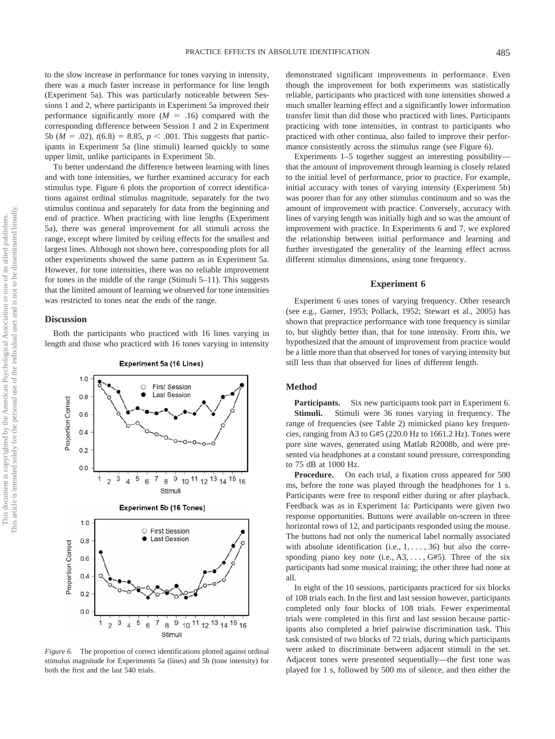to the slow increase in performance for tones varying in intensity, there was a much faster increase in performance for line length (Experiment 5a). This was particularly noticeable between Sessions 1 and 2, where participants in Experiment 5a improved their performance significantly more  $(M = .16)$  compared with the corresponding difference between Session 1 and 2 in Experiment 5b ( $M = .02$ ),  $t(6.8) = 8.85$ ,  $p < .001$ . This suggests that participants in Experiment 5a (line stimuli) learned quickly to some upper limit, unlike participants in Experiment 5b.

To better understand the difference between learning with lines and with tone intensities, we further examined accuracy for each stimulus type. Figure 6 plots the proportion of correct identifications against ordinal stimulus magnitude, separately for the two stimulus continua and separately for data from the beginning and end of practice. When practicing with line lengths (Experiment 5a), there was general improvement for all stimuli across the range, except where limited by ceiling effects for the smallest and largest lines. Although not shown here, corresponding plots for all other experiments showed the same pattern as in Experiment 5a. However, for tone intensities, there was no reliable improvement for tones in the middle of the range (Stimuli 5–11). This suggests that the limited amount of learning we observed for tone intensities was restricted to tones near the ends of the range.

#### **Discussion**

Both the participants who practiced with 16 lines varying in length and those who practiced with 16 tones varying in intensity



#### **Experiment 5a (16 Lines)**

*Figure 6.* The proportion of correct identifications plotted against ordinal stimulus magnitude for Experiments 5a (lines) and 5b (tone intensity) for both the first and the last 540 trials.

demonstrated significant improvements in performance. Even though the improvement for both experiments was statistically reliable, participants who practiced with tone intensities showed a much smaller learning effect and a significantly lower information transfer limit than did those who practiced with lines. Participants practicing with tone intensities, in contrast to participants who practiced with other continua, also failed to improve their performance consistently across the stimulus range (see Figure 6).

Experiments 1–5 together suggest an interesting possibility that the amount of improvement through learning is closely related to the initial level of performance, prior to practice. For example, initial accuracy with tones of varying intensity (Experiment 5b) was poorer than for any other stimulus continuum and so was the amount of improvement with practice. Conversely, accuracy with lines of varying length was initially high and so was the amount of improvement with practice. In Experiments 6 and 7, we explored the relationship between initial performance and learning and further investigated the generality of the learning effect across different stimulus dimensions, using tone frequency.

### **Experiment 6**

Experiment 6 uses tones of varying frequency. Other research (see e.g., Garner, 1953; Pollack, 1952; Stewart et al., 2005) has shown that prepractice performance with tone frequency is similar to, but slightly better than, that for tone intensity. From this, we hypothesized that the amount of improvement from practice would be a little more than that observed for tones of varying intensity but still less than that observed for lines of different length.

# **Method**

**Participants.** Six new participants took part in Experiment 6. **Stimuli.** Stimuli were 36 tones varying in frequency. The range of frequencies (see Table 2) mimicked piano key frequencies, ranging from A3 to G#5 (220.0 Hz to 1661.2 Hz). Tones were pure sine waves, generated using Matlab R2008b, and were presented via headphones at a constant sound pressure, corresponding to 75 dB at 1000 Hz.

**Procedure.** On each trial, a fixation cross appeared for 500 ms, before the tone was played through the headphones for 1 s. Participants were free to respond either during or after playback. Feedback was as in Experiment 1a: Participants were given two response opportunities. Buttons were available on-screen in three horizontal rows of 12, and participants responded using the mouse. The buttons had not only the numerical label normally associated with absolute identification (i.e.,  $1, \ldots, 36$ ) but also the corresponding piano key note (i.e.,  $A3, \ldots, G#5$ ). Three of the six participants had some musical training; the other three had none at all.

In eight of the 10 sessions, participants practiced for six blocks of 108 trials each. In the first and last session however, participants completed only four blocks of 108 trials. Fewer experimental trials were completed in this first and last session because participants also completed a brief pairwise discrimination task. This task consisted of two blocks of 72 trials, during which participants were asked to discriminate between adjacent stimuli in the set. Adjacent tones were presented sequentially—the first tone was played for 1 s, followed by 500 ms of silence, and then either the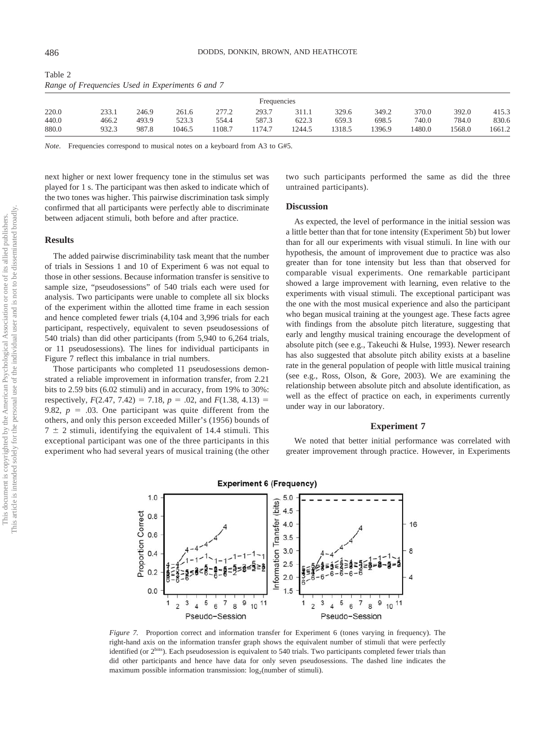| $\mathcal{L}_{\mathcal{L}}$ . The contraction of some the subset of the set of $\mathcal{L}_{\mathcal{L}}$ |       |        |       |       |        |        |        |        |       |        |
|------------------------------------------------------------------------------------------------------------|-------|--------|-------|-------|--------|--------|--------|--------|-------|--------|
| Frequencies                                                                                                |       |        |       |       |        |        |        |        |       |        |
| 233.1                                                                                                      | 246.9 | 261.6  | 277.2 | 293.7 | 311.1  | 329.6  | 349.2  | 370.0  | 392.0 | 415.3  |
| 466.2                                                                                                      | 493.9 | 523.3  | 554.4 | 587.3 | 622.3  | 659.3  | 698.5  | 740.0  | 784.0 | 830.6  |
| 932.3                                                                                                      | 987.8 | 1046.5 | 108.7 | 174.7 | 1244.5 | 1318.5 | 1396.9 | 1480.0 | 568.0 | 1661.2 |
|                                                                                                            |       |        |       |       |        |        |        |        |       |        |

*Range of Frequencies Used in Experiments 6 and 7*

*Note.* Frequencies correspond to musical notes on a keyboard from A3 to G#5.

next higher or next lower frequency tone in the stimulus set was played for 1 s. The participant was then asked to indicate which of the two tones was higher. This pairwise discrimination task simply confirmed that all participants were perfectly able to discriminate between adjacent stimuli, both before and after practice.

# **Results**

The added pairwise discriminability task meant that the number of trials in Sessions 1 and 10 of Experiment 6 was not equal to those in other sessions. Because information transfer is sensitive to sample size, "pseudosessions" of 540 trials each were used for analysis. Two participants were unable to complete all six blocks of the experiment within the allotted time frame in each session and hence completed fewer trials (4,104 and 3,996 trials for each participant, respectively, equivalent to seven pseudosessions of 540 trials) than did other participants (from 5,940 to 6,264 trials, or 11 pseudosessions). The lines for individual participants in Figure 7 reflect this imbalance in trial numbers.

Those participants who completed 11 pseudosessions demonstrated a reliable improvement in information transfer, from 2.21 bits to 2.59 bits (6.02 stimuli) and in accuracy, from 19% to 30%: respectively,  $F(2.47, 7.42) = 7.18$ ,  $p = .02$ , and  $F(1.38, 4.13) =$ 9.82,  $p = .03$ . One participant was quite different from the others, and only this person exceeded Miller's (1956) bounds of  $7 \pm 2$  stimuli, identifying the equivalent of 14.4 stimuli. This exceptional participant was one of the three participants in this experiment who had several years of musical training (the other two such participants performed the same as did the three untrained participants).

## **Discussion**

As expected, the level of performance in the initial session was a little better than that for tone intensity (Experiment 5b) but lower than for all our experiments with visual stimuli. In line with our hypothesis, the amount of improvement due to practice was also greater than for tone intensity but less than that observed for comparable visual experiments. One remarkable participant showed a large improvement with learning, even relative to the experiments with visual stimuli. The exceptional participant was the one with the most musical experience and also the participant who began musical training at the youngest age. These facts agree with findings from the absolute pitch literature, suggesting that early and lengthy musical training encourage the development of absolute pitch (see e.g., Takeuchi & Hulse, 1993). Newer research has also suggested that absolute pitch ability exists at a baseline rate in the general population of people with little musical training (see e.g., Ross, Olson, & Gore, 2003). We are examining the relationship between absolute pitch and absolute identification, as well as the effect of practice on each, in experiments currently under way in our laboratory.

## **Experiment 7**

We noted that better initial performance was correlated with greater improvement through practice. However, in Experiments



*Figure 7.* Proportion correct and information transfer for Experiment 6 (tones varying in frequency). The right-hand axis on the information transfer graph shows the equivalent number of stimuli that were perfectly identified (or 2<sup>bits</sup>). Each pseudosession is equivalent to 540 trials. Two participants completed fewer trials than did other participants and hence have data for only seven pseudosessions. The dashed line indicates the maximum possible information transmission:  $log_2$ (number of stimuli).

Table 2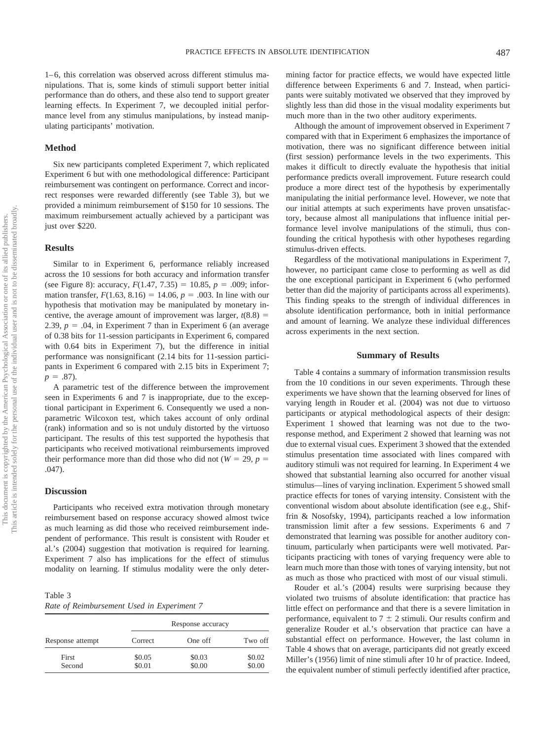1–6, this correlation was observed across different stimulus manipulations. That is, some kinds of stimuli support better initial performance than do others, and these also tend to support greater learning effects. In Experiment 7, we decoupled initial performance level from any stimulus manipulations, by instead manipulating participants' motivation.

## **Method**

Six new participants completed Experiment 7, which replicated Experiment 6 but with one methodological difference: Participant reimbursement was contingent on performance. Correct and incorrect responses were rewarded differently (see Table 3), but we provided a minimum reimbursement of \$150 for 10 sessions. The maximum reimbursement actually achieved by a participant was just over \$220.

#### **Results**

Similar to in Experiment 6, performance reliably increased across the 10 sessions for both accuracy and information transfer (see Figure 8): accuracy,  $F(1.47, 7.35) = 10.85$ ,  $p = .009$ ; information transfer,  $F(1.63, 8.16) = 14.06$ ,  $p = .003$ . In line with our hypothesis that motivation may be manipulated by monetary incentive, the average amount of improvement was larger,  $t(8.8)$  = 2.39,  $p = 0.04$ , in Experiment 7 than in Experiment 6 (an average of 0.38 bits for 11-session participants in Experiment 6, compared with 0.64 bits in Experiment 7), but the difference in initial performance was nonsignificant (2.14 bits for 11-session participants in Experiment 6 compared with 2.15 bits in Experiment 7;  $p = .87$ ).

A parametric test of the difference between the improvement seen in Experiments 6 and 7 is inappropriate, due to the exceptional participant in Experiment 6. Consequently we used a nonparametric Wilcoxon test, which takes account of only ordinal (rank) information and so is not unduly distorted by the virtuoso participant. The results of this test supported the hypothesis that participants who received motivational reimbursements improved their performance more than did those who did not ( $W = 29$ ,  $p =$ .047).

#### **Discussion**

Participants who received extra motivation through monetary reimbursement based on response accuracy showed almost twice as much learning as did those who received reimbursement independent of performance. This result is consistent with Rouder et al.'s (2004) suggestion that motivation is required for learning. Experiment 7 also has implications for the effect of stimulus modality on learning. If stimulus modality were the only deter-

Table 3 *Rate of Reimbursement Used in Experiment 7*

|                  |         | Response accuracy |         |
|------------------|---------|-------------------|---------|
| Response attempt | Correct | One off           | Two off |
| First            | \$0.05  | \$0.03            | \$0.02  |
| Second           | \$0.01  | \$0.00            | \$0.00  |

mining factor for practice effects, we would have expected little difference between Experiments 6 and 7. Instead, when participants were suitably motivated we observed that they improved by slightly less than did those in the visual modality experiments but much more than in the two other auditory experiments.

Although the amount of improvement observed in Experiment 7 compared with that in Experiment 6 emphasizes the importance of motivation, there was no significant difference between initial (first session) performance levels in the two experiments. This makes it difficult to directly evaluate the hypothesis that initial performance predicts overall improvement. Future research could produce a more direct test of the hypothesis by experimentally manipulating the initial performance level. However, we note that our initial attempts at such experiments have proven unsatisfactory, because almost all manipulations that influence initial performance level involve manipulations of the stimuli, thus confounding the critical hypothesis with other hypotheses regarding stimulus-driven effects.

Regardless of the motivational manipulations in Experiment 7, however, no participant came close to performing as well as did the one exceptional participant in Experiment 6 (who performed better than did the majority of participants across all experiments). This finding speaks to the strength of individual differences in absolute identification performance, both in initial performance and amount of learning. We analyze these individual differences across experiments in the next section.

## **Summary of Results**

Table 4 contains a summary of information transmission results from the 10 conditions in our seven experiments. Through these experiments we have shown that the learning observed for lines of varying length in Rouder et al. (2004) was not due to virtuoso participants or atypical methodological aspects of their design: Experiment 1 showed that learning was not due to the tworesponse method, and Experiment 2 showed that learning was not due to external visual cues. Experiment 3 showed that the extended stimulus presentation time associated with lines compared with auditory stimuli was not required for learning. In Experiment 4 we showed that substantial learning also occurred for another visual stimulus—lines of varying inclination. Experiment 5 showed small practice effects for tones of varying intensity. Consistent with the conventional wisdom about absolute identification (see e.g., Shiffrin & Nosofsky, 1994), participants reached a low information transmission limit after a few sessions. Experiments 6 and 7 demonstrated that learning was possible for another auditory continuum, particularly when participants were well motivated. Participants practicing with tones of varying frequency were able to learn much more than those with tones of varying intensity, but not as much as those who practiced with most of our visual stimuli.

Rouder et al.'s (2004) results were surprising because they violated two truisms of absolute identification: that practice has little effect on performance and that there is a severe limitation in performance, equivalent to  $7 \pm 2$  stimuli. Our results confirm and generalize Rouder et al.'s observation that practice can have a substantial effect on performance. However, the last column in Table 4 shows that on average, participants did not greatly exceed Miller's (1956) limit of nine stimuli after 10 hr of practice. Indeed, the equivalent number of stimuli perfectly identified after practice,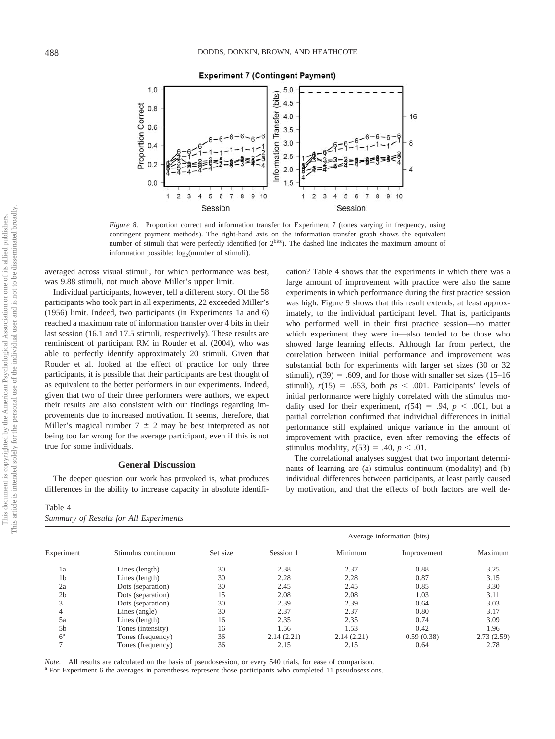

**Experiment 7 (Contingent Payment)** 

*Figure 8.* Proportion correct and information transfer for Experiment 7 (tones varying in frequency, using contingent payment methods). The right-hand axis on the information transfer graph shows the equivalent number of stimuli that were perfectly identified (or  $2^{bits}$ ). The dashed line indicates the maximum amount of information possible:  $log<sub>2</sub>(number of stimuli)$ .

averaged across visual stimuli, for which performance was best, was 9.88 stimuli, not much above Miller's upper limit.

Individual participants, however, tell a different story. Of the 58 participants who took part in all experiments, 22 exceeded Miller's (1956) limit. Indeed, two participants (in Experiments 1a and 6) reached a maximum rate of information transfer over 4 bits in their last session (16.1 and 17.5 stimuli, respectively). These results are reminiscent of participant RM in Rouder et al. (2004), who was able to perfectly identify approximately 20 stimuli. Given that Rouder et al. looked at the effect of practice for only three participants, it is possible that their participants are best thought of as equivalent to the better performers in our experiments. Indeed, given that two of their three performers were authors, we expect their results are also consistent with our findings regarding improvements due to increased motivation. It seems, therefore, that Miller's magical number  $7 \pm 2$  may be best interpreted as not being too far wrong for the average participant, even if this is not true for some individuals.

## **General Discussion**

The deeper question our work has provoked is, what produces differences in the ability to increase capacity in absolute identifi-

| Table 4 |  |                                        |
|---------|--|----------------------------------------|
|         |  | Summary of Results for All Experiments |

cation? Table 4 shows that the experiments in which there was a large amount of improvement with practice were also the same experiments in which performance during the first practice session was high. Figure 9 shows that this result extends, at least approximately, to the individual participant level. That is, participants who performed well in their first practice session—no matter which experiment they were in—also tended to be those who showed large learning effects. Although far from perfect, the correlation between initial performance and improvement was substantial both for experiments with larger set sizes (30 or 32 stimuli),  $r(39) = .609$ , and for those with smaller set sizes (15–16) stimuli),  $r(15) = .653$ , both  $ps < .001$ . Participants' levels of initial performance were highly correlated with the stimulus modality used for their experiment,  $r(54) = .94$ ,  $p < .001$ , but a partial correlation confirmed that individual differences in initial performance still explained unique variance in the amount of improvement with practice, even after removing the effects of stimulus modality,  $r(53) = .40, p < .01$ .

The correlational analyses suggest that two important determinants of learning are (a) stimulus continuum (modality) and (b) individual differences between participants, at least partly caused by motivation, and that the effects of both factors are well de-

|                | Stimulus continuum | Set size | Average information (bits) |            |             |            |  |
|----------------|--------------------|----------|----------------------------|------------|-------------|------------|--|
| Experiment     |                    |          | Session 1                  | Minimum    | Improvement | Maximum    |  |
| 1a             | Lines (length)     | 30       | 2.38                       | 2.37       | 0.88        | 3.25       |  |
| 1 <sub>b</sub> | Lines (length)     | 30       | 2.28                       | 2.28       | 0.87        | 3.15       |  |
| 2a             | Dots (separation)  | 30       | 2.45                       | 2.45       | 0.85        | 3.30       |  |
| 2 <sub>b</sub> | Dots (separation)  | 15       | 2.08                       | 2.08       | 1.03        | 3.11       |  |
| 3              | Dots (separation)  | 30       | 2.39                       | 2.39       | 0.64        | 3.03       |  |
| 4              | Lines (angle)      | 30       | 2.37                       | 2.37       | 0.80        | 3.17       |  |
| 5a             | Lines (length)     | 16       | 2.35                       | 2.35       | 0.74        | 3.09       |  |
| 5 <sub>b</sub> | Tones (intensity)  | 16       | 1.56                       | 1.53       | 0.42        | 1.96       |  |
| $6^{\rm a}$    | Tones (frequency)  | 36       | 2.14(2.21)                 | 2.14(2.21) | 0.59(0.38)  | 2.73(2.59) |  |
|                | Tones (frequency)  | 36       | 2.15                       | 2.15       | 0.64        | 2.78       |  |

*Note*. All results are calculated on the basis of pseudosession, or every 540 trials, for ease of comparison. <br><sup>a</sup> For Experiment 6 the averages in parentheses represent those participants who completed 11 pseudosessions.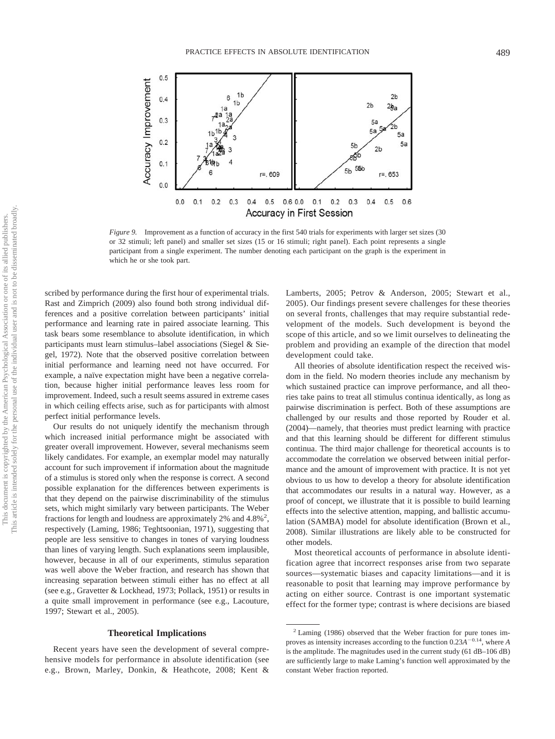

*Figure 9.* Improvement as a function of accuracy in the first 540 trials for experiments with larger set sizes (30 or 32 stimuli; left panel) and smaller set sizes (15 or 16 stimuli; right panel). Each point represents a single participant from a single experiment. The number denoting each participant on the graph is the experiment in which he or she took part.

scribed by performance during the first hour of experimental trials. Rast and Zimprich (2009) also found both strong individual differences and a positive correlation between participants' initial performance and learning rate in paired associate learning. This task bears some resemblance to absolute identification, in which participants must learn stimulus–label associations (Siegel & Siegel, 1972). Note that the observed positive correlation between initial performance and learning need not have occurred. For example, a naïve expectation might have been a negative correlation, because higher initial performance leaves less room for improvement. Indeed, such a result seems assured in extreme cases in which ceiling effects arise, such as for participants with almost perfect initial performance levels.

Our results do not uniquely identify the mechanism through which increased initial performance might be associated with greater overall improvement. However, several mechanisms seem likely candidates. For example, an exemplar model may naturally account for such improvement if information about the magnitude of a stimulus is stored only when the response is correct. A second possible explanation for the differences between experiments is that they depend on the pairwise discriminability of the stimulus sets, which might similarly vary between participants. The Weber fractions for length and loudness are approximately 2% and  $4.8\%$ <sup>2</sup>, respectively (Laming, 1986; Teghtsoonian, 1971), suggesting that people are less sensitive to changes in tones of varying loudness than lines of varying length. Such explanations seem implausible, however, because in all of our experiments, stimulus separation was well above the Weber fraction, and research has shown that increasing separation between stimuli either has no effect at all (see e.g., Gravetter & Lockhead, 1973; Pollack, 1951) or results in a quite small improvement in performance (see e.g., Lacouture, 1997; Stewart et al., 2005).

## **Theoretical Implications**

Recent years have seen the development of several comprehensive models for performance in absolute identification (see e.g., Brown, Marley, Donkin, & Heathcote, 2008; Kent & Lamberts, 2005; Petrov & Anderson, 2005; Stewart et al., 2005). Our findings present severe challenges for these theories on several fronts, challenges that may require substantial redevelopment of the models. Such development is beyond the scope of this article, and so we limit ourselves to delineating the problem and providing an example of the direction that model development could take.

All theories of absolute identification respect the received wisdom in the field. No modern theories include any mechanism by which sustained practice can improve performance, and all theories take pains to treat all stimulus continua identically, as long as pairwise discrimination is perfect. Both of these assumptions are challenged by our results and those reported by Rouder et al. (2004)—namely, that theories must predict learning with practice and that this learning should be different for different stimulus continua. The third major challenge for theoretical accounts is to accommodate the correlation we observed between initial performance and the amount of improvement with practice. It is not yet obvious to us how to develop a theory for absolute identification that accommodates our results in a natural way. However, as a proof of concept, we illustrate that it is possible to build learning effects into the selective attention, mapping, and ballistic accumulation (SAMBA) model for absolute identification (Brown et al., 2008). Similar illustrations are likely able to be constructed for other models.

Most theoretical accounts of performance in absolute identification agree that incorrect responses arise from two separate sources—systematic biases and capacity limitations—and it is reasonable to posit that learning may improve performance by acting on either source. Contrast is one important systematic effect for the former type; contrast is where decisions are biased

<sup>2</sup> Laming (1986) observed that the Weber fraction for pure tones improves as intensity increases according to the function  $0.23A^{-0.14}$ , where *A* is the amplitude. The magnitudes used in the current study (61 dB–106 dB) are sufficiently large to make Laming's function well approximated by the constant Weber fraction reported.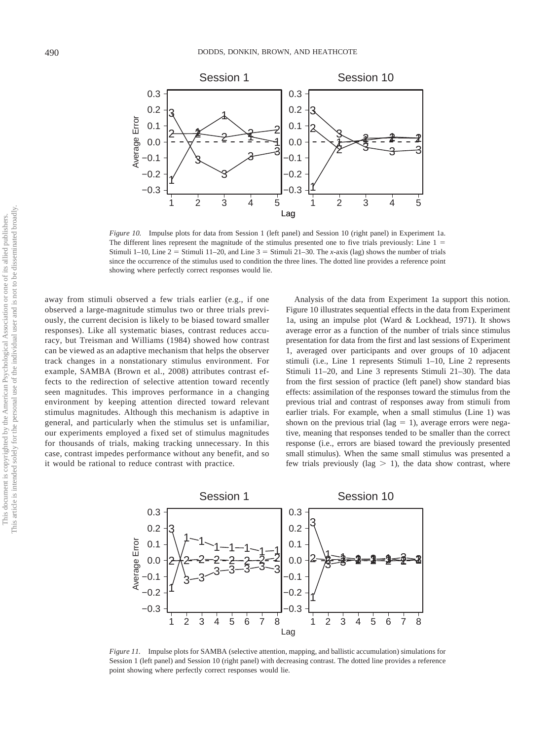

*Figure 10.* Impulse plots for data from Session 1 (left panel) and Session 10 (right panel) in Experiment 1a. The different lines represent the magnitude of the stimulus presented one to five trials previously: Line 1 = Stimuli 1–10, Line  $2 =$  Stimuli 11–20, and Line  $3 =$  Stimuli 21–30. The *x*-axis (lag) shows the number of trials since the occurrence of the stimulus used to condition the three lines. The dotted line provides a reference point showing where perfectly correct responses would lie.

away from stimuli observed a few trials earlier (e.g., if one observed a large-magnitude stimulus two or three trials previously, the current decision is likely to be biased toward smaller responses). Like all systematic biases, contrast reduces accuracy, but Treisman and Williams (1984) showed how contrast can be viewed as an adaptive mechanism that helps the observer track changes in a nonstationary stimulus environment. For example, SAMBA (Brown et al., 2008) attributes contrast effects to the redirection of selective attention toward recently seen magnitudes. This improves performance in a changing environment by keeping attention directed toward relevant stimulus magnitudes. Although this mechanism is adaptive in general, and particularly when the stimulus set is unfamiliar, our experiments employed a fixed set of stimulus magnitudes for thousands of trials, making tracking unnecessary. In this case, contrast impedes performance without any benefit, and so it would be rational to reduce contrast with practice.

Analysis of the data from Experiment 1a support this notion. Figure 10 illustrates sequential effects in the data from Experiment 1a, using an impulse plot (Ward & Lockhead, 1971). It shows average error as a function of the number of trials since stimulus presentation for data from the first and last sessions of Experiment 1, averaged over participants and over groups of 10 adjacent stimuli (i.e., Line 1 represents Stimuli 1–10, Line 2 represents Stimuli 11–20, and Line 3 represents Stimuli 21–30). The data from the first session of practice (left panel) show standard bias effects: assimilation of the responses toward the stimulus from the previous trial and contrast of responses away from stimuli from earlier trials. For example, when a small stimulus (Line 1) was shown on the previous trial (lag  $= 1$ ), average errors were negative, meaning that responses tended to be smaller than the correct response (i.e., errors are biased toward the previously presented small stimulus). When the same small stimulus was presented a few trials previously (lag  $> 1$ ), the data show contrast, where



*Figure 11.* Impulse plots for SAMBA (selective attention, mapping, and ballistic accumulation) simulations for Session 1 (left panel) and Session 10 (right panel) with decreasing contrast. The dotted line provides a reference point showing where perfectly correct responses would lie.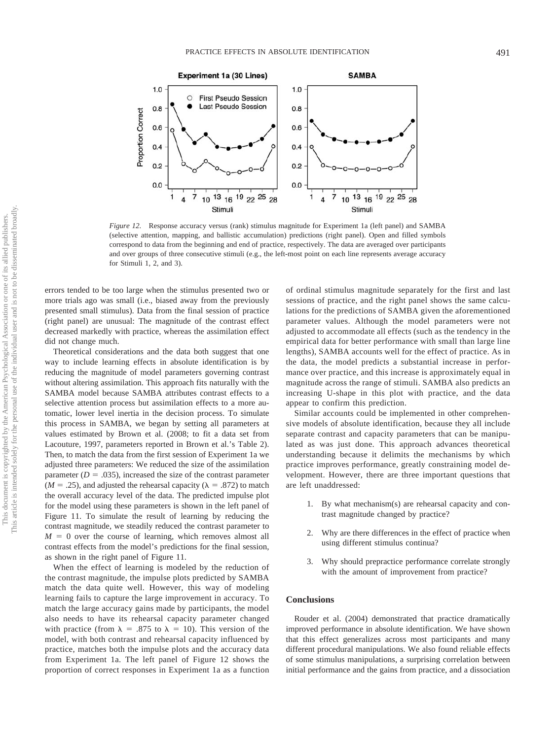

*Figure 12.* Response accuracy versus (rank) stimulus magnitude for Experiment 1a (left panel) and SAMBA (selective attention, mapping, and ballistic accumulation) predictions (right panel). Open and filled symbols correspond to data from the beginning and end of practice, respectively. The data are averaged over participants and over groups of three consecutive stimuli (e.g., the left-most point on each line represents average accuracy for Stimuli 1, 2, and 3).

errors tended to be too large when the stimulus presented two or more trials ago was small (i.e., biased away from the previously presented small stimulus). Data from the final session of practice (right panel) are unusual: The magnitude of the contrast effect decreased markedly with practice, whereas the assimilation effect did not change much.

Theoretical considerations and the data both suggest that one way to include learning effects in absolute identification is by reducing the magnitude of model parameters governing contrast without altering assimilation. This approach fits naturally with the SAMBA model because SAMBA attributes contrast effects to a selective attention process but assimilation effects to a more automatic, lower level inertia in the decision process. To simulate this process in SAMBA, we began by setting all parameters at values estimated by Brown et al. (2008; to fit a data set from Lacouture, 1997, parameters reported in Brown et al.'s Table 2). Then, to match the data from the first session of Experiment 1a we adjusted three parameters: We reduced the size of the assimilation parameter  $(D = .035)$ , increased the size of the contrast parameter  $(M = .25)$ , and adjusted the rehearsal capacity ( $\lambda = .872$ ) to match the overall accuracy level of the data. The predicted impulse plot for the model using these parameters is shown in the left panel of Figure 11. To simulate the result of learning by reducing the contrast magnitude, we steadily reduced the contrast parameter to  $M = 0$  over the course of learning, which removes almost all contrast effects from the model's predictions for the final session, as shown in the right panel of Figure 11.

When the effect of learning is modeled by the reduction of the contrast magnitude, the impulse plots predicted by SAMBA match the data quite well. However, this way of modeling learning fails to capture the large improvement in accuracy. To match the large accuracy gains made by participants, the model also needs to have its rehearsal capacity parameter changed with practice (from  $\lambda = .875$  to  $\lambda = 10$ ). This version of the model, with both contrast and rehearsal capacity influenced by practice, matches both the impulse plots and the accuracy data from Experiment 1a. The left panel of Figure 12 shows the proportion of correct responses in Experiment 1a as a function of ordinal stimulus magnitude separately for the first and last sessions of practice, and the right panel shows the same calculations for the predictions of SAMBA given the aforementioned parameter values. Although the model parameters were not adjusted to accommodate all effects (such as the tendency in the empirical data for better performance with small than large line lengths), SAMBA accounts well for the effect of practice. As in the data, the model predicts a substantial increase in performance over practice, and this increase is approximately equal in magnitude across the range of stimuli. SAMBA also predicts an increasing U-shape in this plot with practice, and the data appear to confirm this prediction.

Similar accounts could be implemented in other comprehensive models of absolute identification, because they all include separate contrast and capacity parameters that can be manipulated as was just done. This approach advances theoretical understanding because it delimits the mechanisms by which practice improves performance, greatly constraining model development. However, there are three important questions that are left unaddressed:

- 1. By what mechanism(s) are rehearsal capacity and contrast magnitude changed by practice?
- 2. Why are there differences in the effect of practice when using different stimulus continua?
- 3. Why should prepractice performance correlate strongly with the amount of improvement from practice?

# **Conclusions**

Rouder et al. (2004) demonstrated that practice dramatically improved performance in absolute identification. We have shown that this effect generalizes across most participants and many different procedural manipulations. We also found reliable effects of some stimulus manipulations, a surprising correlation between initial performance and the gains from practice, and a dissociation